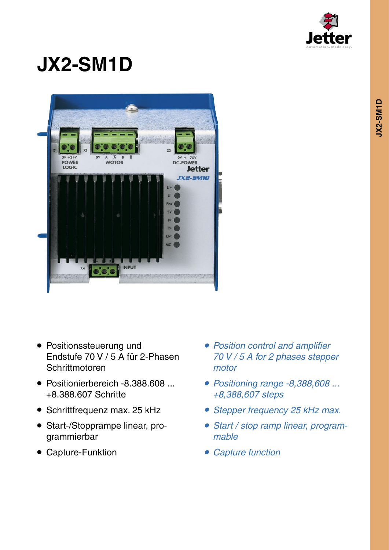

# **JX2-SM1D**



- Positionssteuerung und Endstufe 70 V / 5 A für 2-Phasen **Schrittmotoren**
- Positionierbereich -8.388.608 ... +8.388.607 Schritte
- Schrittfrequenz max. 25 kHz
- Start-/Stopprampe linear, programmierbar
- Capture-Funktion
- *• Position control and amplifier 70 V / 5 A for 2 phases stepper motor*
- *• Positioning range -8,388,608 ... +8,388,607 steps*
- *• Stepper frequency <sup>25</sup> kHz max.*
- *• Start / stop ramp linear, programmable*
- *• Capture function*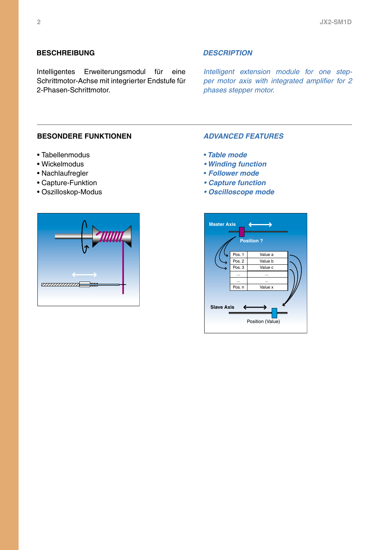## **Beschreibung** *Description*

Intelligentes Erweiterungsmodul für eine Schrittmotor-Achse mit integrierter Endstufe für 2-Phasen-Schrittmotor.

*Intelligent extension module for one stepper motor axis with integrated amplifier for 2 phases stepper motor.*

### **Besondere funktionen** *advanced features*

- Tabellenmodus
- Wickelmodus
- Nachlaufregler
- Capture-Funktion
- Oszilloskop-Modus



- *Table mode*
- *• Winding function*
- • *Follower mode*
- *• Capture function*
- *• Oscilloscope mode*

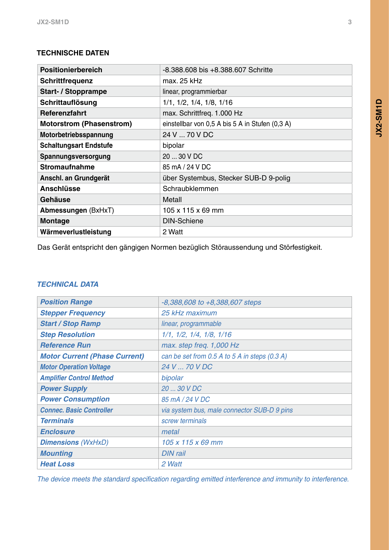# **Technische Daten**

| -8.388.608 bis +8.388.607 Schritte              |
|-------------------------------------------------|
| $max.25$ kHz                                    |
| linear, programmierbar                          |
| $1/1$ , $1/2$ , $1/4$ , $1/8$ , $1/16$          |
| max. Schrittfreq. 1.000 Hz                      |
| einstellbar von 0,5 A bis 5 A in Stufen (0,3 A) |
| 24 V  70 V DC                                   |
| bipolar                                         |
| 20  30 V DC                                     |
| 85 mA / 24 V DC                                 |
| über Systembus, Stecker SUB-D 9-polig           |
| Schraubklemmen                                  |
| Metall                                          |
| 105 x 115 x 69 mm                               |
| <b>DIN-Schiene</b>                              |
| 2 Watt                                          |
|                                                 |

Das Gerät entspricht den gängigen Normen bezüglich Störaussendung und Störfestigkeit.

# *Technical Data*

| <b>Position Range</b>                | $-8,388,608$ to $+8,388,607$ steps            |
|--------------------------------------|-----------------------------------------------|
| <b>Stepper Frequency</b>             | 25 kHz maximum                                |
| <b>Start / Stop Ramp</b>             | linear, programmable                          |
| <b>Step Resolution</b>               | $1/1$ , $1/2$ , $1/4$ , $1/8$ , $1/16$        |
| <b>Reference Run</b>                 | max. step freq. 1,000 Hz                      |
| <b>Motor Current (Phase Current)</b> | can be set from 0.5 A to 5 A in steps (0.3 A) |
| <b>Motor Operation Voltage</b>       | 24 V  70 V DC                                 |
| <b>Amplifier Control Method</b>      | bipolar                                       |
| <b>Power Supply</b>                  | 20  30 V DC                                   |
| <b>Power Consumption</b>             | 85 mA / 24 V DC                               |
| <b>Connec. Basic Controller</b>      | via system bus, male connector SUB-D 9 pins   |
| <b>Terminals</b>                     | screw terminals                               |
| <b>Enclosure</b>                     | metal                                         |
| <b>Dimensions</b> (WxHxD)            | 105 x 115 x 69 mm                             |
| <b>Mounting</b>                      | <b>DIN</b> rail                               |
| <b>Heat Loss</b>                     | 2 Watt                                        |

*The device meets the standard specification regarding emitted interference and immunity to interference.*